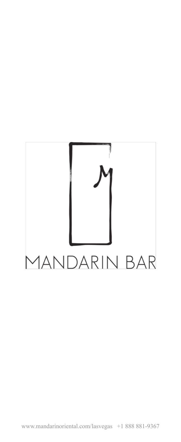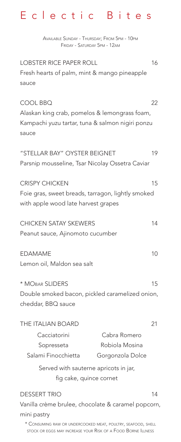# Eclectic Bites

Available Sunday - Thursday; From 5pm - 10pm Friday - Saturday 5pm - 12am

LOBSTER RICE PAPER ROLL 16 Fresh hearts of palm, mint & mango pineapple sauce

COOL BBQ 22 Alaskan king crab, pomelos & lemongrass foam, Kampachi yuzu tartar, tuna & salmon nigiri ponzu sauce "STELLAR BAY" OYSTER BEIGNET 19 Parsnip mousseline, Tsar Nicolay Ossetra Caviar CRISPY CHICKEN 15 Foie gras, sweet breads, tarragon, lightly smoked with apple wood late harvest grapes CHICKEN SATAY SKEWERS 14 Peanut sauce, Ajinomoto cucumber EDAMAME 10 Lemon oil, Maldon sea salt \* MORAR SLIDERS 15 Double smoked bacon, pickled caramelized onion, cheddar, BBQ sauce THE ITALIAN BOARD 21 Cacciatorini Cabra Romero

Sopresseta Salami Finocchietta Robiola Mosina Gorgonzola Dolce Served with sauterne apricots in jar,

fig cake, quince cornet

DESSERT TRIO 14 Vanilla crème brulee, chocolate & caramel popcorn, mini pastry \* Consuming raw or undercooked meat, poultry, seafood, shell

stock or eggs may increase your Risk of a Food Borne Illness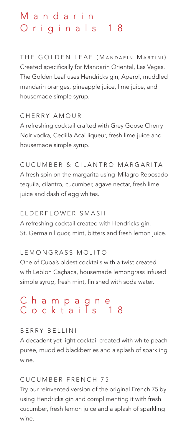# M a n d a r i n Originals 18

THE GOLDEN LEAF (MANDARIN MARTINI) Created specifically for Mandarin Oriental, Las Vegas. The Golden Leaf uses Hendricks gin, Aperol, muddled mandarin oranges, pineapple juice, lime juice, and housemade simple syrup.

CHERRY AMOUR A refreshing cocktail crafted with Grey Goose Cherry Noir vodka, Cedilla Acai liqueur, fresh lime juice and housemade simple syrup.

CUCUMBER & CILANTRO MARGARITA A fresh spin on the margarita using Milagro Reposado tequila, cilantro, cucumber, agave nectar, fresh lime juice and dash of egg whites.

### ELDERFLOWER SMASH

A refreshing cocktail created with Hendricks gin, St. Germain liquor, mint, bitters and fresh lemon juice.

## LEMONGRASS MOJITO

One of Cuba's oldest cocktails with a twist created with Leblon Caçhaca, housemade lemongrass infused simple syrup, fresh mint, finished with soda water.

# Champagne Cocktails 18

#### BERRY BELLINI

A decadent yet light cocktail created with white peach purée, muddled blackberries and a splash of sparkling wine.

## CUCUMBER FRENCH 75

Try our reinvented version of the original French 75 by using Hendricks gin and complimenting it with fresh cucumber, fresh lemon juice and a splash of sparkling wine.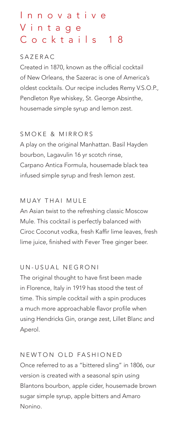# I n n o v a t i v e V i n t a g e Cocktails 18

### SAZERAC

Created in 1870, known as the official cocktail of New Orleans, the Sazerac is one of America's oldest cocktails. Our recipe includes Remy V.S.O.P., Pendleton Rye whiskey, St. George Absinthe, housemade simple syrup and lemon zest.

## SMOKE & MIRRORS

A play on the original Manhattan. Basil Hayden bourbon, Lagavulin 16 yr scotch rinse, Carpano Antica Formula, housemade black tea infused simple syrup and fresh lemon zest.

## MUAY THAI MULE

An Asian twist to the refreshing classic Moscow Mule. This cocktail is perfectly balanced with Ciroc Coconut vodka, fresh Kaffir lime leaves, fresh lime juice, finished with Fever Tree ginger beer.

## UN-USUAL NEGRONI

The original thought to have first been made in Florence, Italy in 1919 has stood the test of time. This simple cocktail with a spin produces a much more approachable flavor profile when using Hendricks Gin, orange zest, Lillet Blanc and Aperol.

# NEWTON OLD FASHIONED Once referred to as a "bittered sling" in 1806, our version is created with a seasonal spin using Blantons bourbon, apple cider, housemade brown sugar simple syrup, apple bitters and Amaro Nonino.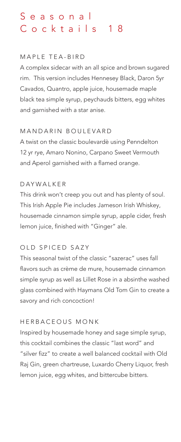# S e a s o n a l Cocktails 18

### MAPLE TEA-BIRD

A complex sidecar with an all spice and brown sugared rim. This version includes Hennesey Black, Daron 5yr Cavados, Quantro, apple juice, housemade maple black tea simple syrup, peychauds bitters, egg whites and garnished with a star anise.

## MANDARIN BOULEVARD

A twist on the classic boulevardè using Penndelton 12 yr rye, Amaro Nonino, Carpano Sweet Vermouth and Aperol garnished with a flamed orange.

## DAYWALKER

This drink won't creep you out and has plenty of soul. This Irish Apple Pie includes Jameson Irish Whiskey, housemade cinnamon simple syrup, apple cider, fresh lemon juice, finished with "Ginger" ale.

# OLD SPICED SAZY

This seasonal twist of the classic "sazerac" uses fall flavors such as crème de mure, housemade cinnamon simple syrup as well as Lillet Rose in a absinthe washed glass combined with Haymans Old Tom Gin to create a savory and rich concoction!

## HERBACEOUS MONK

Inspired by housemade honey and sage simple syrup, this cocktail combines the classic "last word" and "silver fizz" to create a well balanced cocktail with Old Raj Gin, green chartreuse, Luxardo Cherry Liquor, fresh lemon juice, egg whites, and bittercube bitters.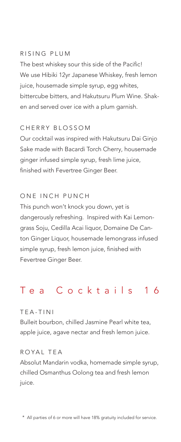#### RISING PLUM

The best whiskey sour this side of the Pacific! We use Hibiki 12yr Japanese Whiskey, fresh lemon juice, housemade simple syrup, egg whites, bittercube bitters, and Hakutsuru Plum Wine. Shaken and served over ice with a plum garnish.

#### CHERRY BLOSSOM

Our cocktail was inspired with Hakutsuru Dai Ginjo Sake made with Bacardi Torch Cherry, housemade ginger infused simple syrup, fresh lime juice, finished with Fevertree Ginger Beer.

#### ONE INCH PUNCH

This punch won't knock you down, yet is dangerously refreshing. Inspired with Kai Lemongrass Soju, Cedilla Acai liquor, Domaine De Canton Ginger Liquor, housemade lemongrass infused simple syrup, fresh lemon juice, finished with Fevertree Ginger Beer.

# Tea Cocktails 16

#### TEA-TINI

Bulleit bourbon, chilled Jasmine Pearl white tea, apple juice, agave nectar and fresh lemon juice.

#### ROYAL TEA

Absolut Mandarin vodka, homemade simple syrup, chilled Osmanthus Oolong tea and fresh lemon juice.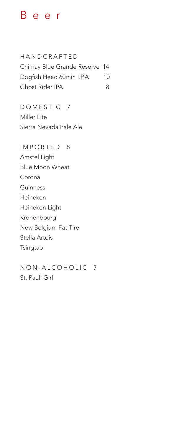# Beer

HANDCRAFTED Chimay Blue Grande Reserve 14 Dogfish Head 60min I.P.A 10 Ghost Rider IPA 8

DOMESTIC 7 Miller Lite Sierra Nevada Pale Ale

IMPORTED 8 Amstel Light Blue Moon Wheat Corona Guinness Heineken Heineken Light Kronenbourg New Belgium Fat Tire Stella Artois Tsingtao

NON-ALCOHOLIC 7 St. Pauli Girl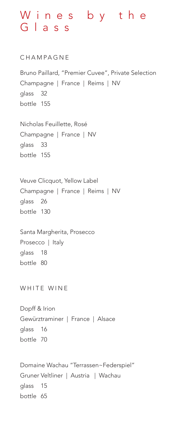# W i n e s b y t h e Glass

CHAMPAGNE Bruno Paillard, "Premier Cuvee", Private Selection Champagne | France | Reims | NV glass 32 bottle 155 Nicholas Feuillette, Rosé Champagne | France | NV glass 33 bottle 155 Veuve Clicquot, Yellow Label Champagne | France | Reims | NV glass 26 bottle 130 Santa Margherita, Prosecco Prosecco | Italy glass 18 bottle 80 WHITE WINE Dopff & Irion Gewürztraminer | France | Alsace glass 16 bottle 70 Domaine Wachau "Terrassen~Federspiel" Gruner Veltliner | Austria | Wachau glass 15 bottle 65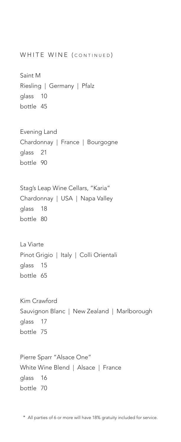```
WHITE WINE (CONTINUED)
Saint M
Riesling | Germany | Pfalz
glass 10
bottle 45
Evening Land 
Chardonnay | France | Bourgogne 
glass 21
bottle 90
Stag's Leap Wine Cellars, "Karia"
Chardonnay | USA | Napa Valley 
glass 18
bottle 80
La Viarte 
Pinot Grigio | Italy | Colli Orientali
glass 15
bottle 65
Kim Crawford
Sauvignon Blanc | New Zealand | Marlborough
glass 17
bottle 75
Pierre Sparr "Alsace One"
White Wine Blend | Alsace | France
glass 16
bottle 70
```
\* All parties of 6 or more will have 18% gratuity included for service.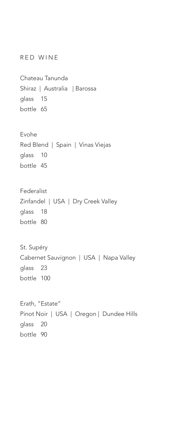RED WINE

Chateau Tanunda Shiraz | Australia | Barossa glass 15 bottle 65

Evohe Red Blend | Spain | Vinas Viejas glass 10 bottle 45

Federalist Zinfandel | USA | Dry Creek Valley glass 18 bottle 80

St. Supéry Cabernet Sauvignon | USA | Napa Valley glass 23 bottle 100

Erath, "Estate" Pinot Noir | USA | Oregon | Dundee Hills glass 20 bottle 90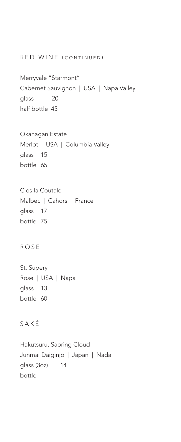#### RED WINE (CONTINUED)

Merryvale "Starmont" Cabernet Sauvignon | USA | Napa Valley glass 20 half bottle 45

# Okanagan Estate Merlot | USA | Columbia Valley glass 15 bottle 65

Clos la Coutale Malbec | Cahors | France glass 17 bottle 75

### ROSE

St. Supery Rose | USA | Napa glass 13 bottle 60

## SAKÉ

Hakutsuru, Saoring Cloud Junmai Daiginjo | Japan | Nada glass (3oz) 14 bottle